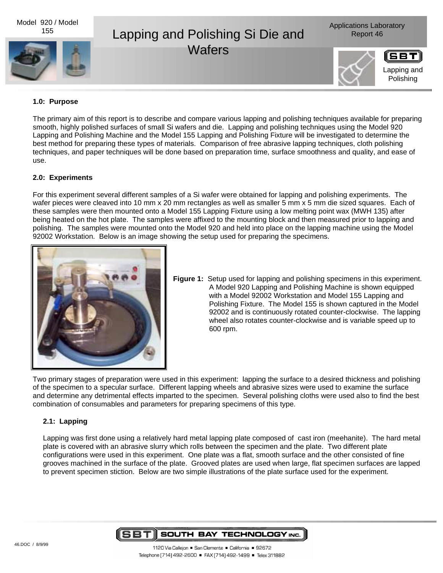

#### **1.0: Purpose**

The primary aim of this report is to describe and compare various lapping and polishing techniques available for preparing smooth, highly polished surfaces of small Si wafers and die. Lapping and polishing techniques using the Model 920 Lapping and Polishing Machine and the Model 155 Lapping and Polishing Fixture will be investigated to determine the best method for preparing these types of materials. Comparison of free abrasive lapping techniques, cloth polishing techniques, and paper techniques will be done based on preparation time, surface smoothness and quality, and ease of use.

### **2.0: Experiments**

For this experiment several different samples of a Si wafer were obtained for lapping and polishing experiments. The wafer pieces were cleaved into 10 mm x 20 mm rectangles as well as smaller 5 mm x 5 mm die sized squares. Each of these samples were then mounted onto a Model 155 Lapping Fixture using a low melting point wax (MWH 135) after being heated on the hot plate. The samples were affixed to the mounting block and then measured prior to lapping and polishing. The samples were mounted onto the Model 920 and held into place on the lapping machine using the Model 92002 Workstation. Below is an image showing the setup used for preparing the specimens.



**Figure 1:** Setup used for lapping and polishing specimens in this experiment. A Model 920 Lapping and Polishing Machine is shown equipped with a Model 92002 Workstation and Model 155 Lapping and Polishing Fixture. The Model 155 is shown captured in the Model 92002 and is continuously rotated counter-clockwise. The lapping wheel also rotates counter-clockwise and is variable speed up to 600 rpm.

Two primary stages of preparation were used in this experiment: lapping the surface to a desired thickness and polishing of the specimen to a specular surface. Different lapping wheels and abrasive sizes were used to examine the surface and determine any detrimental effects imparted to the specimen. Several polishing cloths were used also to find the best combination of consumables and parameters for preparing specimens of this type.

## **2.1: Lapping**

Lapping was first done using a relatively hard metal lapping plate composed of cast iron (meehanite). The hard metal plate is covered with an abrasive slurry which rolls between the specimen and the plate. Two different plate configurations were used in this experiment. One plate was a flat, smooth surface and the other consisted of fine grooves machined in the surface of the plate. Grooved plates are used when large, flat specimen surfaces are lapped to prevent specimen stiction. Below are two simple illustrations of the plate surface used for the experiment.

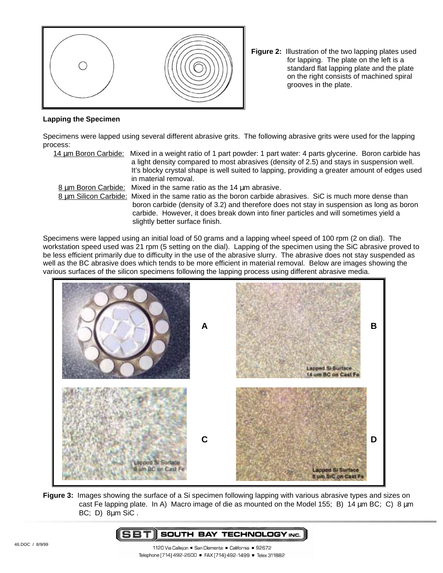

**Figure 2:** Illustration of the two lapping plates used for lapping. The plate on the left is a standard flat lapping plate and the plate on the right consists of machined spiral grooves in the plate.

#### **Lapping the Specimen**

Specimens were lapped using several different abrasive grits. The following abrasive grits were used for the lapping process:

14 um Boron Carbide: Mixed in a weight ratio of 1 part powder: 1 part water: 4 parts glycerine. Boron carbide has a light density compared to most abrasives (density of 2.5) and stays in suspension well. It's blocky crystal shape is well suited to lapping, providing a greater amount of edges used in material removal.

8 um Boron Carbide: Mixed in the same ratio as the 14 um abrasive. 8 um Silicon Carbide: Mixed in the same ratio as the boron carbide abrasives. SiC is much more dense than

boron carbide (density of 3.2) and therefore does not stay in suspension as long as boron carbide. However, it does break down into finer particles and will sometimes yield a slightly better surface finish.

Specimens were lapped using an initial load of 50 grams and a lapping wheel speed of 100 rpm (2 on dial). The workstation speed used was 21 rpm (5 setting on the dial). Lapping of the specimen using the SiC abrasive proved to be less efficient primarily due to difficulty in the use of the abrasive slurry. The abrasive does not stay suspended as well as the BC abrasive does which tends to be more efficient in material removal. Below are images showing the various surfaces of the silicon specimens following the lapping process using different abrasive media.



**Figure 3:** Images showing the surface of a Si specimen following lapping with various abrasive types and sizes on cast Fe lapping plate. In A) Macro image of die as mounted on the Model 155; B) 14  $\mu$ m BC; C) 8  $\mu$ m BC; D) 8µm SiC .

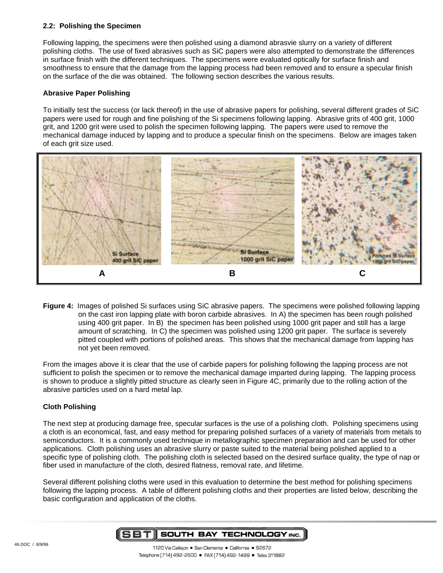## **2.2: Polishing the Specimen**

Following lapping, the specimens were then polished using a diamond abrasvie slurry on a variety of different polishing cloths. The use of fixed abrasives such as SiC papers were also attempted to demonstrate the differences in surface finish with the different techniques. The specimens were evaluated optically for surface finish and smoothness to ensure that the damage from the lapping process had been removed and to ensure a specular finish on the surface of the die was obtained. The following section describes the various results.

## **Abrasive Paper Polishing**

To initially test the success (or lack thereof) in the use of abrasive papers for polishing, several different grades of SiC papers were used for rough and fine polishing of the Si specimens following lapping. Abrasive grits of 400 grit, 1000 grit, and 1200 grit were used to polish the specimen following lapping. The papers were used to remove the mechanical damage induced by lapping and to produce a specular finish on the specimens. Below are images taken of each grit size used.



**Figure 4:** Images of polished Si surfaces using SiC abrasive papers. The specimens were polished following lapping on the cast iron lapping plate with boron carbide abrasives. In A) the specimen has been rough polished using 400 grit paper. In B) the specimen has been polished using 1000 grit paper and still has a large amount of scratching. In C) the specimen was polished using 1200 grit paper. The surface is severely pitted coupled with portions of polished areas. This shows that the mechanical damage from lapping has not yet been removed.

From the images above it is clear that the use of carbide papers for polishing following the lapping process are not sufficient to polish the specimen or to remove the mechanical damage imparted during lapping. The lapping process is shown to produce a slightly pitted structure as clearly seen in Figure 4C, primarily due to the rolling action of the abrasive particles used on a hard metal lap.

## **Cloth Polishing**

The next step at producing damage free, specular surfaces is the use of a polishing cloth. Polishing specimens using a cloth is an economical, fast, and easy method for preparing polished surfaces of a variety of materials from metals to semiconductors. It is a commonly used technique in metallographic specimen preparation and can be used for other applications. Cloth polishing uses an abrasive slurry or paste suited to the material being polished applied to a specific type of polishing cloth. The polishing cloth is selected based on the desired surface quality, the type of nap or fiber used in manufacture of the cloth, desired flatness, removal rate, and lifetime.

Several different polishing cloths were used in this evaluation to determine the best method for polishing specimens following the lapping process. A table of different polishing cloths and their properties are listed below, describing the basic configuration and application of the cloths.

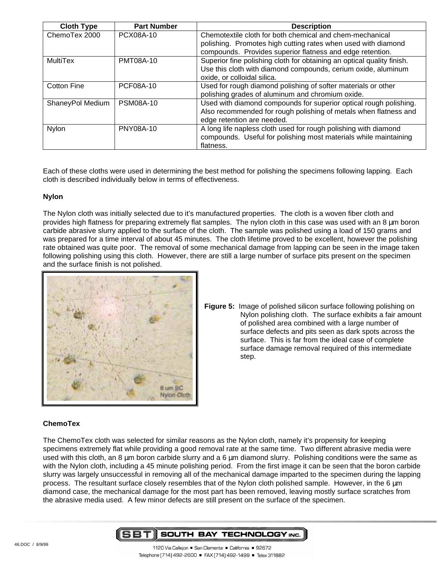| <b>Cloth Type</b>  | <b>Part Number</b> | <b>Description</b>                                                     |
|--------------------|--------------------|------------------------------------------------------------------------|
| ChemoTex 2000      | PCX08A-10          | Chemotextile cloth for both chemical and chem-mechanical               |
|                    |                    | polishing. Promotes high cutting rates when used with diamond          |
|                    |                    | compounds. Provides superior flatness and edge retention.              |
| MultiTex           | <b>PMT08A-10</b>   | Superior fine polishing cloth for obtaining an optical quality finish. |
|                    |                    | Use this cloth with diamond compounds, cerium oxide, aluminum          |
|                    |                    | oxide, or colloidal silica.                                            |
| <b>Cotton Fine</b> | <b>PCF08A-10</b>   | Used for rough diamond polishing of softer materials or other          |
|                    |                    | polishing grades of aluminum and chromium oxide.                       |
| ShaneyPol Medium   | <b>PSM08A-10</b>   | Used with diamond compounds for superior optical rough polishing.      |
|                    |                    | Also recommended for rough polishing of metals when flatness and       |
|                    |                    | edge retention are needed.                                             |
| <b>Nylon</b>       | PNY08A-10          | A long life napless cloth used for rough polishing with diamond        |
|                    |                    | compounds. Useful for polishing most materials while maintaining       |
|                    |                    | flatness.                                                              |

Each of these cloths were used in determining the best method for polishing the specimens following lapping. Each cloth is described individually below in terms of effectiveness.

#### **Nylon**

The Nylon cloth was initially selected due to it's manufactured properties. The cloth is a woven fiber cloth and provides high flatness for preparing extremely flat samples. The nylon cloth in this case was used with an 8  $\mu$ m boron carbide abrasive slurry applied to the surface of the cloth. The sample was polished using a load of 150 grams and was prepared for a time interval of about 45 minutes. The cloth lifetime proved to be excellent, however the polishing rate obtained was quite poor. The removal of some mechanical damage from lapping can be seen in the image taken following polishing using this cloth. However, there are still a large number of surface pits present on the specimen and the surface finish is not polished.



**Figure 5:** Image of polished silicon surface following polishing on Nylon polishing cloth. The surface exhibits a fair amount of polished area combined with a large number of surface defects and pits seen as dark spots across the surface. This is far from the ideal case of complete surface damage removal required of this intermediate step.

## **ChemoTex**

The ChemoTex cloth was selected for similar reasons as the Nylon cloth, namely it's propensity for keeping specimens extremely flat while providing a good removal rate at the same time. Two different abrasive media were used with this cloth, an 8 µm boron carbide slurry and a 6 µm diamond slurry. Polishing conditions were the same as with the Nylon cloth, including a 45 minute polishing period. From the first image it can be seen that the boron carbide slurry was largely unsuccessful in removing all of the mechanical damage imparted to the specimen during the lapping process. The resultant surface closely resembles that of the Nylon cloth polished sample. However, in the 6 µm diamond case, the mechanical damage for the most part has been removed, leaving mostly surface scratches from the abrasive media used. A few minor defects are still present on the surface of the specimen.

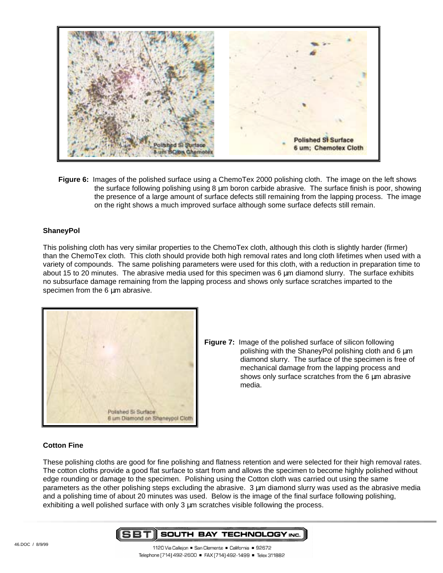

**Figure 6:** Images of the polished surface using a ChemoTex 2000 polishing cloth. The image on the left shows the surface following polishing using 8 µm boron carbide abrasive. The surface finish is poor, showing the presence of a large amount of surface defects still remaining from the lapping process. The image on the right shows a much improved surface although some surface defects still remain.

## **ShaneyPol**

This polishing cloth has very similar properties to the ChemoTex cloth, although this cloth is slightly harder (firmer) than the ChemoTex cloth. This cloth should provide both high removal rates and long cloth lifetimes when used with a variety of compounds. The same polishing parameters were used for this cloth, with a reduction in preparation time to about 15 to 20 minutes. The abrasive media used for this specimen was 6 um diamond slurry. The surface exhibits no subsurface damage remaining from the lapping process and shows only surface scratches imparted to the specimen from the 6  $\mu$ m abrasive.



**Figure 7:** Image of the polished surface of silicon following polishing with the ShaneyPol polishing cloth and 6  $\mu$ m diamond slurry. The surface of the specimen is free of mechanical damage from the lapping process and shows only surface scratches from the 6 µm abrasive media.

#### **Cotton Fine**

These polishing cloths are good for fine polishing and flatness retention and were selected for their high removal rates. The cotton cloths provide a good flat surface to start from and allows the specimen to become highly polished without edge rounding or damage to the specimen. Polishing using the Cotton cloth was carried out using the same parameters as the other polishing steps excluding the abrasive. 3 µm diamond slurry was used as the abrasive media and a polishing time of about 20 minutes was used. Below is the image of the final surface following polishing, exhibiting a well polished surface with only  $3 \mu m$  scratches visible following the process.

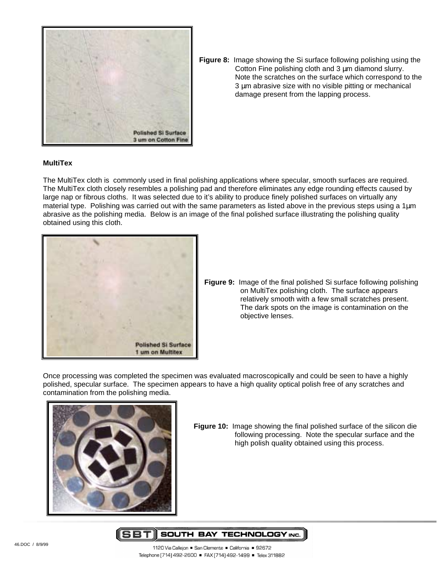

**Figure 8:** Image showing the Si surface following polishing using the Cotton Fine polishing cloth and 3  $\mu$ m diamond slurry. Note the scratches on the surface which correspond to the 3 um abrasive size with no visible pitting or mechanical damage present from the lapping process.

### **MultiTex**

The MultiTex cloth is commonly used in final polishing applications where specular, smooth surfaces are required. The MultiTex cloth closely resembles a polishing pad and therefore eliminates any edge rounding effects caused by large nap or fibrous cloths. It was selected due to it's ability to produce finely polished surfaces on virtually any material type. Polishing was carried out with the same parameters as listed above in the previous steps using a 1µm abrasive as the polishing media. Below is an image of the final polished surface illustrating the polishing quality obtained using this cloth.



**Figure 9:** Image of the final polished Si surface following polishing on MultiTex polishing cloth. The surface appears relatively smooth with a few small scratches present. The dark spots on the image is contamination on the objective lenses.

Once processing was completed the specimen was evaluated macroscopically and could be seen to have a highly polished, specular surface. The specimen appears to have a high quality optical polish free of any scratches and contamination from the polishing media.



**Figure 10:** Image showing the final polished surface of the silicon die following processing. Note the specular surface and the high polish quality obtained using this process.